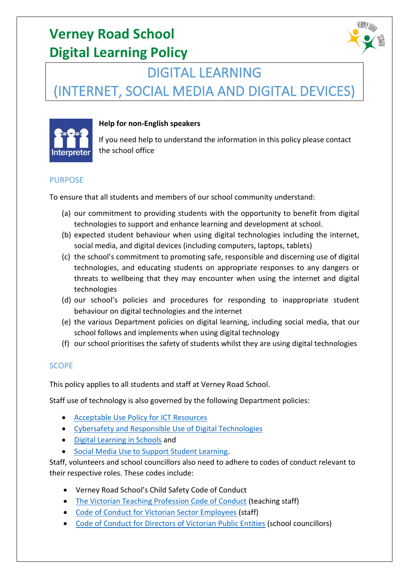

# DIGITAL LEARNING

(INTERNET, SOCIAL MEDIA AND DIGITAL DEVICES)



## **Help for non-English speakers**

If you need help to understand the information in this policy please contact the school office

#### PURPOSE

To ensure that all students and members of our school community understand:

- (a) our commitment to providing students with the opportunity to benefit from digital technologies to support and enhance learning and development at school.
- (b) expected student behaviour when using digital technologies including the internet, social media, and digital devices (including computers, laptops, tablets)
- (c) the school's commitment to promoting safe, responsible and discerning use of digital technologies, and educating students on appropriate responses to any dangers or threats to wellbeing that they may encounter when using the internet and digital technologies
- (d) our school's policies and procedures for responding to inappropriate student behaviour on digital technologies and the internet
- (e) the various Department policies on digital learning, including social media, that our school follows and implements when using digital technology
- (f) our school prioritises the safety of students whilst they are using digital technologies

## SCOPE

This policy applies to all students and staff at Verney Road School.

Staff use of technology is also governed by the following Department policies:

- [Acceptable Use Policy for ICT Resources](https://www2.education.vic.gov.au/pal/ict-acceptable-use/overview)
- [Cybersafety and Responsible Use of Digital Technologies](https://www2.education.vic.gov.au/pal/cybersafety/policy)
- [Digital Learning in Schools](https://www2.education.vic.gov.au/pal/digital-learning/policy) and
- [Social Media Use to Support Student Learning.](https://www2.education.vic.gov.au/pal/social-media/policy)

Staff, volunteers and school councillors also need to adhere to codes of conduct relevant to their respective roles. These codes include:

- Verney Road School's Child Safety Code of Conduct
- [The Victorian Teaching Profession Code of Conduct](https://www.vit.vic.edu.au/__data/assets/pdf_file/0018/35604/Code-of-Conduct-2016.pdf) (teaching staff)
- [Code of Conduct for Victorian Sector Employees](https://www2.education.vic.gov.au/pal/code-conduct/overview) (staff)
- [Code of Conduct for Directors of Victorian Public Entities](https://www2.education.vic.gov.au/pal/school-council-conduct/policy) (school councillors)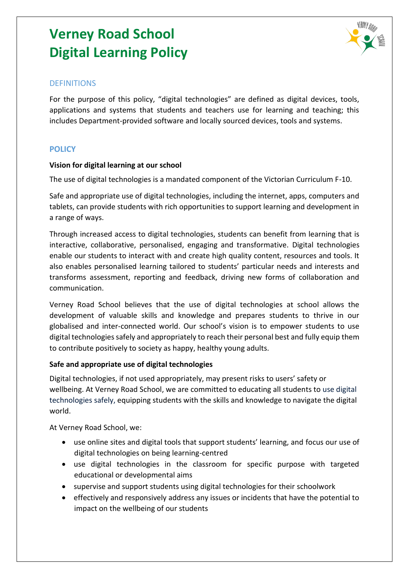

#### **DEFINITIONS**

For the purpose of this policy, "digital technologies" are defined as digital devices, tools, applications and systems that students and teachers use for learning and teaching; this includes Department-provided software and locally sourced devices, tools and systems.

## **POLICY**

#### **Vision for digital learning at our school**

The use of digital technologies is a mandated component of the Victorian Curriculum F-10.

Safe and appropriate use of digital technologies, including the internet, apps, computers and tablets, can provide students with rich opportunities to support learning and development in a range of ways.

Through increased access to digital technologies, students can benefit from learning that is interactive, collaborative, personalised, engaging and transformative. Digital technologies enable our students to interact with and create high quality content, resources and tools. It also enables personalised learning tailored to students' particular needs and interests and transforms assessment, reporting and feedback, driving new forms of collaboration and communication.

Verney Road School believes that the use of digital technologies at school allows the development of valuable skills and knowledge and prepares students to thrive in our globalised and inter-connected world. Our school's vision is to empower students to use digital technologies safely and appropriately to reach their personal best and fully equip them to contribute positively to society as happy, healthy young adults.

#### **Safe and appropriate use of digital technologies**

Digital technologies, if not used appropriately, may present risks to users' safety or wellbeing. At Verney Road School, we are committed to educating all students to use digital technologies safely, equipping students with the skills and knowledge to navigate the digital world.

At Verney Road School, we:

- use online sites and digital tools that support students' learning, and focus our use of digital technologies on being learning-centred
- use digital technologies in the classroom for specific purpose with targeted educational or developmental aims
- supervise and support students using digital technologies for their schoolwork
- effectively and responsively address any issues or incidents that have the potential to impact on the wellbeing of our students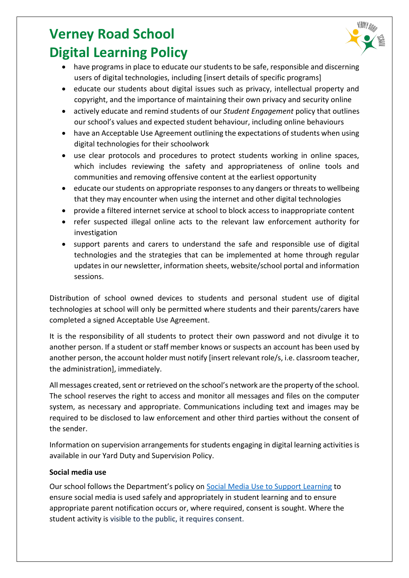- have programs in place to educate our students to be safe, responsible and discerning users of digital technologies, including [insert details of specific programs]
- educate our students about digital issues such as privacy, intellectual property and copyright, and the importance of maintaining their own privacy and security online
- actively educate and remind students of our *Student Engagement* policy that outlines our school's values and expected student behaviour, including online behaviours
- have an Acceptable Use Agreement outlining the expectations of students when using digital technologies for their schoolwork
- use clear protocols and procedures to protect students working in online spaces, which includes reviewing the safety and appropriateness of online tools and communities and removing offensive content at the earliest opportunity
- educate our students on appropriate responses to any dangers or threats to wellbeing that they may encounter when using the internet and other digital technologies
- provide a filtered internet service at school to block access to inappropriate content
- refer suspected illegal online acts to the relevant law enforcement authority for investigation
- support parents and carers to understand the safe and responsible use of digital technologies and the strategies that can be implemented at home through regular updates in our newsletter, information sheets, website/school portal and information sessions.

Distribution of school owned devices to students and personal student use of digital technologies at school will only be permitted where students and their parents/carers have completed a signed Acceptable Use Agreement.

It is the responsibility of all students to protect their own password and not divulge it to another person. If a student or staff member knows or suspects an account has been used by another person, the account holder must notify [insert relevant role/s, i.e. classroom teacher, the administration], immediately.

All messages created, sent or retrieved on the school's network are the property of the school. The school reserves the right to access and monitor all messages and files on the computer system, as necessary and appropriate. Communications including text and images may be required to be disclosed to law enforcement and other third parties without the consent of the sender.

Information on supervision arrangements for students engaging in digital learning activities is available in our Yard Duty and Supervision Policy.

## **Social media use**

Our school follows the Department's policy on Social Media Use [to Support Learning](https://www2.education.vic.gov.au/pal/social-media/policy) to ensure social media is used safely and appropriately in student learning and to ensure appropriate parent notification occurs or, where required, consent is sought. Where the student activity is visible to the public, it requires consent.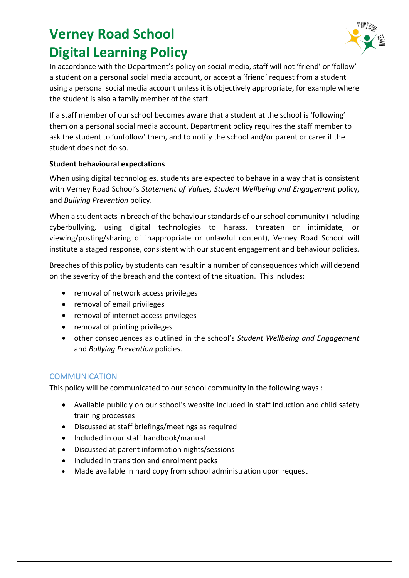

In accordance with the Department's policy on social media, staff will not 'friend' or 'follow' a student on a personal social media account, or accept a 'friend' request from a student using a personal social media account unless it is objectively appropriate, for example where the student is also a family member of the staff.

If a staff member of our school becomes aware that a student at the school is 'following' them on a personal social media account, Department policy requires the staff member to ask the student to 'unfollow' them, and to notify the school and/or parent or carer if the student does not do so.

## **Student behavioural expectations**

When using digital technologies, students are expected to behave in a way that is consistent with Verney Road School's *Statement of Values, Student Wellbeing and Engagement* policy, and *Bullying Prevention* policy.

When a student acts in breach of the behaviour standards of our school community (including cyberbullying, using digital technologies to harass, threaten or intimidate, or viewing/posting/sharing of inappropriate or unlawful content), Verney Road School will institute a staged response, consistent with our student engagement and behaviour policies*.*

Breaches of this policy by students can result in a number of consequences which will depend on the severity of the breach and the context of the situation. This includes:

- removal of network access privileges
- removal of email privileges
- removal of internet access privileges
- removal of printing privileges
- other consequences as outlined in the school's *Student Wellbeing and Engagement* and *Bullying Prevention* policies.

## **COMMUNICATION**

This policy will be communicated to our school community in the following ways :

- Available publicly on our school's website Included in staff induction and child safety training processes
- Discussed at staff briefings/meetings as required
- Included in our staff handbook/manual
- Discussed at parent information nights/sessions
- Included in transition and enrolment packs
- Made available in hard copy from school administration upon request